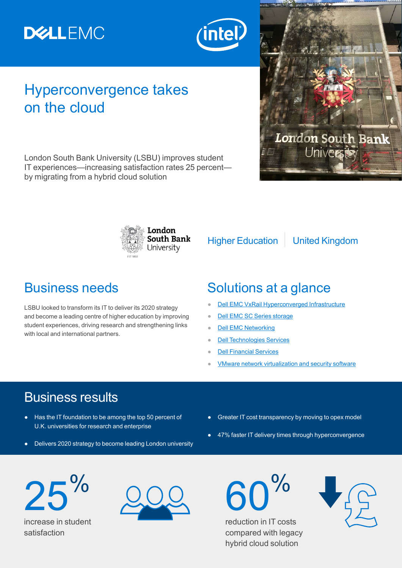# **DELLEMC**



### Hyperconvergence takes on the cloud

London South Bank University (LSBU) improves student IT experiences—increasing satisfaction rates 25 percent by migrating from a hybrid cloud solution



Higher Education | United Kingdom

**London South Bank** 

LSBU looked to transform its IT to deliver its 2020 strategy and become a leading centre of higher education by improving student experiences, driving research and strengthening links with local and international partners.

#### Business needs Solutions at a glance

- **[Dell EMC VxRail Hyperconverged Infrastructure](https://www.dellemc.com/en-gb/converged-infrastructure/vxrail/index.htm)**
- **[Dell EMC SC Series storage](https://www.dellemc.com/en-us/storage/sc-series.htm)**
- **[Dell EMC Networking](https://www.dellemc.com/en-gb/networking/index.htm)**
- **[Dell Technologies Services](https://www.dellemc.com/en-gb/services/index.htm)**
- **[Dell Financial Services](https://dfs.dell.com/pages/dfshomepage.aspx)**
- **[VMware network virtualization and security software](https://www.vmware.com/products/nsx.html)**

### Business results

- Has the IT foundation to be among the top 50 percent of U.K. universities for research and enterprise
- Delivers 2020 strategy to become leading London university
- Greater IT cost transparency by moving to opex model
- 47% faster IT delivery times through hyperconvergence

 $25$ 

increase in student satisfaction



60%

reduction in IT costs compared with legacy hybrid cloud solution

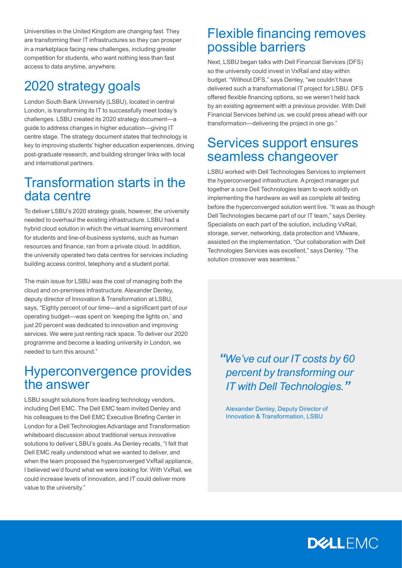Universities in the United Kingdom are changing fast. They are transforming their IT infrastructures so they can prosper in a marketplace facing new challenges, including greater competition for students, who want nothing less than fast access to data anytime, anywhere.

### 2020 strategy goals

London South Bank University (LSBU), located in central London, is transforming its IT to successfully meet today's challenges. LSBU created its 2020 strategy document—a guide to address changes in higher education—giving IT centre stage. The strategy document states that technology is key to improving students' higher education experiences, driving post-graduate research, and building stronger links with local and international partners.

#### Transformation starts in the data centre

To deliver LSBU's 2020 strategy goals, however, the university needed to overhaul the existing infrastructure. LSBU had a hybrid cloud solution in which the virtual learning environment for students and line-of-business systems, such as human resources and finance, ran from a private cloud. In addition, the university operated two data centres for services including building access control, telephony and a student portal.

The main issue for LSBU was the cost of managing both the cloud and on-premises infrastructure. Alexander Denley, deputy director of Innovation & Transformation at LSBU, says, "Eighty percent of our time—and a significant part of our operating budget—was spent on 'keeping the lights on,' and just 20 percent was dedicated to innovation and improving services. We were just renting rack space. To deliver our 2020 programme and become a leading university in London, we needed to turn this around."

#### Hyperconvergence provides the answer

LSBU sought solutions from leading technology vendors, including Dell EMC. The Dell EMC team invited Denley and his colleagues to the Dell EMC Executive Briefing Center in London for a Dell Technologies Advantage and Transformation whiteboard discussion about traditional versus innovative solutions to deliver LSBU's goals. As Denley recalls, "I felt that Dell EMC really understood what we wanted to deliver, and when the team proposed the hyperconverged VxRail appliance, I believed we'd found what we were looking for. With VxRail, we could increase levels of innovation, and IT could deliver more value to the university."

#### Flexible financing removes possible barriers

Next, LSBU began talks with Dell Financial Services (DFS) so the university could invest in VxRail and stay within budget. "Without DFS," says Denley, "we couldn't have delivered such a transformational IT project for LSBU. DFS offered flexible financing options, so we weren't held back by an existing agreement with a previous provider. With Dell Financial Services behind us, we could press ahead with our transformation—delivering the project in one go."

#### Services support ensures seamless changeover

LSBU worked with Dell Technologies Services to implement the hyperconverged infrastructure. A project manager put together a core Dell Technologies team to work solidly on implementing the hardware as well as complete all testing before the hyperconverged solution went live. "It was as though Dell Technologies became part of our IT team," says Denley. Specialists on each part of the solution, including VxRail, storage, server, networking, data protection and VMware, assisted on the implementation. "Our collaboration with Dell Technologies Services was excellent," says Denley. "The solution crossover was seamless."

*"We've cut our IT costs by 60 percent by transforming our IT with Dell Technologies."*

Alexander Denley, Deputy Director of Innovation & Transformation, LSBU

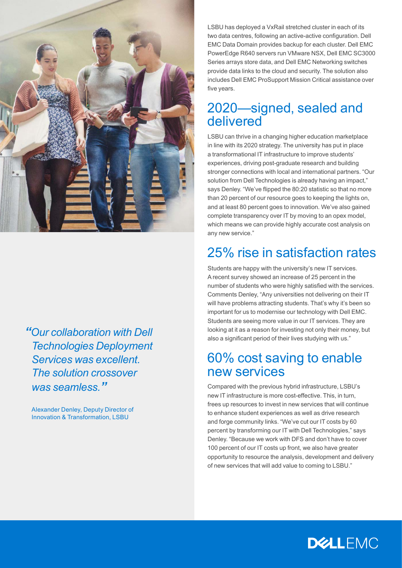

*"Our collaboration with Dell Technologies Deployment Services was excellent. The solution crossover was seamless."*

Alexander Denley, Deputy Director of Innovation & Transformation, LSBU

LSBU has deployed a VxRail stretched cluster in each of its two data centres, following an active-active configuration. Dell EMC Data Domain provides backup for each cluster. Dell EMC PowerEdge R640 servers run VMware NSX, Dell EMC SC3000 Series arrays store data, and Dell EMC Networking switches provide data links to the cloud and security. The solution also includes Dell EMC ProSupport Mission Critical assistance over five years.

#### 2020—signed, sealed and delivered

LSBU can thrive in a changing higher education marketplace in line with its 2020 strategy. The university has put in place a transformational IT infrastructure to improve students' experiences, driving post-graduate research and building stronger connections with local and international partners. "Our solution from Dell Technologies is already having an impact," says Denley. "We've flipped the 80:20 statistic so that no more than 20 percent of our resource goes to keeping the lights on, and at least 80 percent goes to innovation. We've also gained complete transparency over IT by moving to an opex model, which means we can provide highly accurate cost analysis on any new service."

#### 25% rise in satisfaction rates

Students are happy with the university's new IT services. A recent survey showed an increase of 25 percent in the number of students who were highly satisfied with the services. Comments Denley, "Any universities not delivering on their IT will have problems attracting students. That's why it's been so important for us to modernise our technology with Dell EMC. Students are seeing more value in our IT services. They are looking at it as a reason for investing not only their money, but also a significant period of their lives studying with us."

#### 60% cost saving to enable new services

Compared with the previous hybrid infrastructure, LSBU's new IT infrastructure is more cost-effective. This, in turn, frees up resources to invest in new services that will continue to enhance student experiences as well as drive research and forge community links. "We've cut our IT costs by 60 percent by transforming our IT with Dell Technologies," says Denley. "Because we work with DFS and don't have to cover 100 percent of our IT costs up front, we also have greater opportunity to resource the analysis, development and delivery of new services that will add value to coming to LSBU."